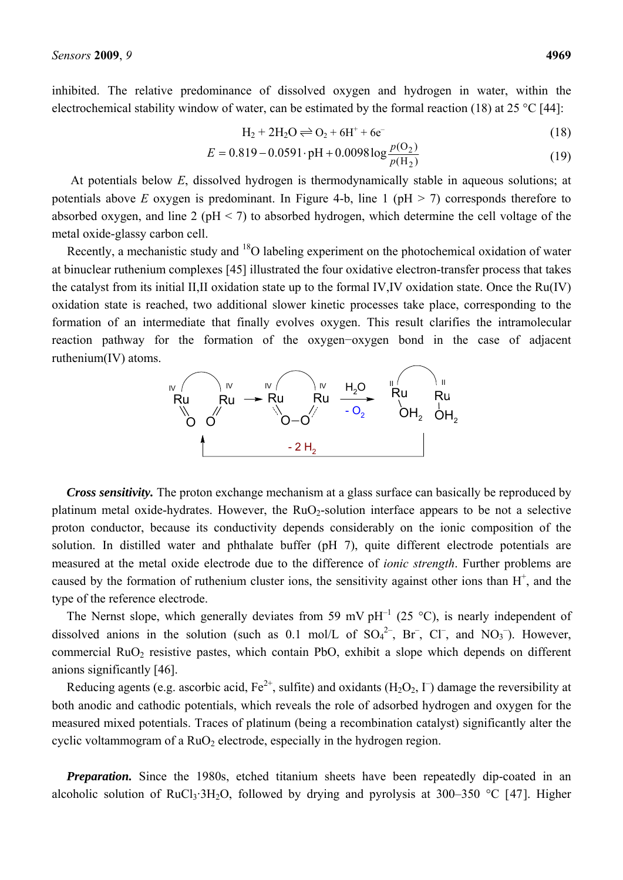inhibited. The relative predominance of dissolved oxygen and hydrogen in water, within the electrochemical stability window of water, can be estimated by the formal reaction (18) at 25 °C [44]:

$$
H_2 + 2H_2O \rightleftharpoons O_2 + 6H^+ + 6e^-
$$
\n(18)

$$
E = 0.819 - 0.0591 \cdot pH + 0.0098 \log \frac{p(O_2)}{p(H_2)}
$$
(19)

At potentials below *E*, dissolved hydrogen is thermodynamically stable in aqueous solutions; at potentials above *E* oxygen is predominant. In Figure 4-b, line 1 ( $pH > 7$ ) corresponds therefore to absorbed oxygen, and line 2 ( $pH < 7$ ) to absorbed hydrogen, which determine the cell voltage of the metal oxide-glassy carbon cell.

Recently, a mechanistic study and <sup>18</sup>O labeling experiment on the photochemical oxidation of water at binuclear ruthenium complexes [45] illustrated the four oxidative electron-transfer process that takes the catalyst from its initial II,II oxidation state up to the formal IV,IV oxidation state. Once the Ru(IV) oxidation state is reached, two additional slower kinetic processes take place, corresponding to the formation of an intermediate that finally evolves oxygen. This result clarifies the intramolecular reaction pathway for the formation of the oxygen−oxygen bond in the case of adjacent ruthenium(IV) atoms.



*Cross sensitivity.* The proton exchange mechanism at a glass surface can basically be reproduced by platinum metal oxide-hydrates. However, the RuO<sub>2</sub>-solution interface appears to be not a selective proton conductor, because its conductivity depends considerably on the ionic composition of the solution. In distilled water and phthalate buffer (pH 7), quite different electrode potentials are measured at the metal oxide electrode due to the difference of *ionic strength*. Further problems are caused by the formation of ruthenium cluster ions, the sensitivity against other ions than  $H^+$ , and the type of the reference electrode.

The Nernst slope, which generally deviates from 59 mV  $pH^{-1}$  (25 °C), is nearly independent of dissolved anions in the solution (such as 0.1 mol/L of  $SO_4^2$ <sup>-</sup>, Br<sup>-</sup>, Cl<sup>-</sup>, and NO<sub>3</sub><sup>-</sup>). However, commercial  $RuO<sub>2</sub>$  resistive pastes, which contain PbO, exhibit a slope which depends on different anions significantly [46].

Reducing agents (e.g. ascorbic acid,  $Fe^{2+}$ , sulfite) and oxidants (H<sub>2</sub>O<sub>2</sub>,  $\Gamma$ ) damage the reversibility at both anodic and cathodic potentials, which reveals the role of adsorbed hydrogen and oxygen for the measured mixed potentials. Traces of platinum (being a recombination catalyst) significantly alter the cyclic voltammogram of a  $RuO<sub>2</sub>$  electrode, especially in the hydrogen region.

**Preparation.** Since the 1980s, etched titanium sheets have been repeatedly dip-coated in an alcoholic solution of RuCl<sub>3</sub>·3H<sub>2</sub>O, followed by drying and pyrolysis at 300–350 °C [47]. Higher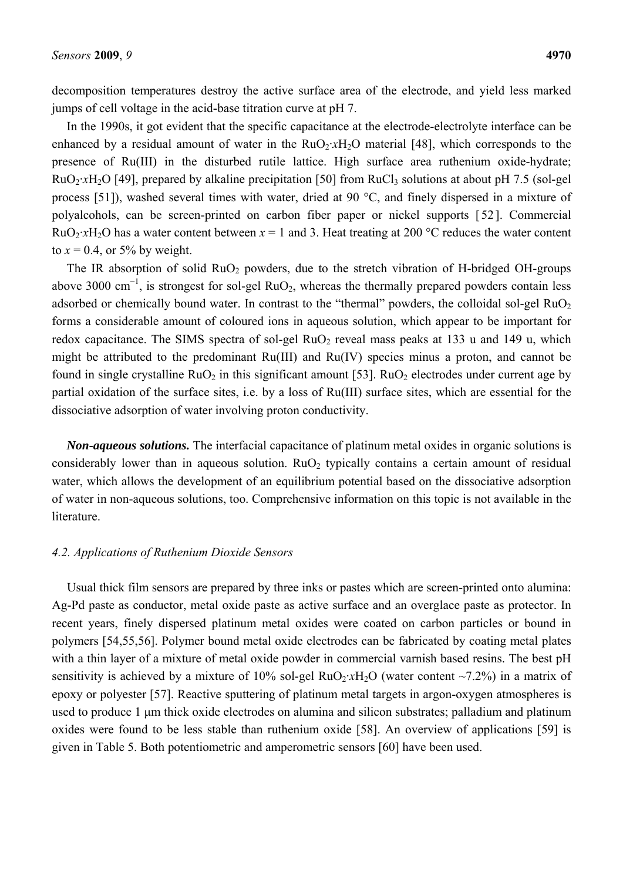decomposition temperatures destroy the active surface area of the electrode, and yield less marked jumps of cell voltage in the acid-base titration curve at pH 7.

In the 1990s, it got evident that the specific capacitance at the electrode-electrolyte interface can be enhanced by a residual amount of water in the  $RuO_2 \cdot xH_2O$  material [48], which corresponds to the presence of Ru(III) in the disturbed rutile lattice. High surface area ruthenium oxide-hydrate; RuO<sub>2</sub>·*xH*<sub>2</sub>O [49], prepared by alkaline precipitation [50] from RuCl<sub>3</sub> solutions at about pH 7.5 (sol-gel process [51]), washed several times with water, dried at 90 °C, and finely dispersed in a mixture of polyalcohols, can be screen-printed on carbon fiber paper or nickel supports [52]. Commercial  $RuO<sub>2</sub>·xH<sub>2</sub>O$  has a water content between  $x = 1$  and 3. Heat treating at 200 °C reduces the water content to  $x = 0.4$ , or 5% by weight.

The IR absorption of solid  $RuO<sub>2</sub>$  powders, due to the stretch vibration of H-bridged OH-groups above 3000 cm<sup>-1</sup>, is strongest for sol-gel RuO<sub>2</sub>, whereas the thermally prepared powders contain less adsorbed or chemically bound water. In contrast to the "thermal" powders, the colloidal sol-gel  $RuO<sub>2</sub>$ forms a considerable amount of coloured ions in aqueous solution, which appear to be important for redox capacitance. The SIMS spectra of sol-gel  $RuO<sub>2</sub>$  reveal mass peaks at 133 u and 149 u, which might be attributed to the predominant Ru(III) and Ru(IV) species minus a proton, and cannot be found in single crystalline  $RuO<sub>2</sub>$  in this significant amount [53].  $RuO<sub>2</sub>$  electrodes under current age by partial oxidation of the surface sites, i.e. by a loss of Ru(III) surface sites, which are essential for the dissociative adsorption of water involving proton conductivity.

*Non-aqueous solutions.* The interfacial capacitance of platinum metal oxides in organic solutions is considerably lower than in aqueous solution.  $RuO<sub>2</sub>$  typically contains a certain amount of residual water, which allows the development of an equilibrium potential based on the dissociative adsorption of water in non-aqueous solutions, too. Comprehensive information on this topic is not available in the literature.

# *4.2. Applications of Ruthenium Dioxide Sensors*

Usual thick film sensors are prepared by three inks or pastes which are screen-printed onto alumina: Ag-Pd paste as conductor, metal oxide paste as active surface and an overglace paste as protector. In recent years, finely dispersed platinum metal oxides were coated on carbon particles or bound in polymers [54,55,56]. Polymer bound metal oxide electrodes can be fabricated by coating metal plates with a thin layer of a mixture of metal oxide powder in commercial varnish based resins. The best pH sensitivity is achieved by a mixture of 10% sol-gel RuO<sub>2</sub>·*xH*<sub>2</sub>O (water content ~7.2%) in a matrix of epoxy or polyester [57]. Reactive sputtering of platinum metal targets in argon-oxygen atmospheres is used to produce 1 μm thick oxide electrodes on alumina and silicon substrates; palladium and platinum oxides were found to be less stable than ruthenium oxide [58]. An overview of applications [59] is given in Table 5. Both potentiometric and amperometric sensors [60] have been used.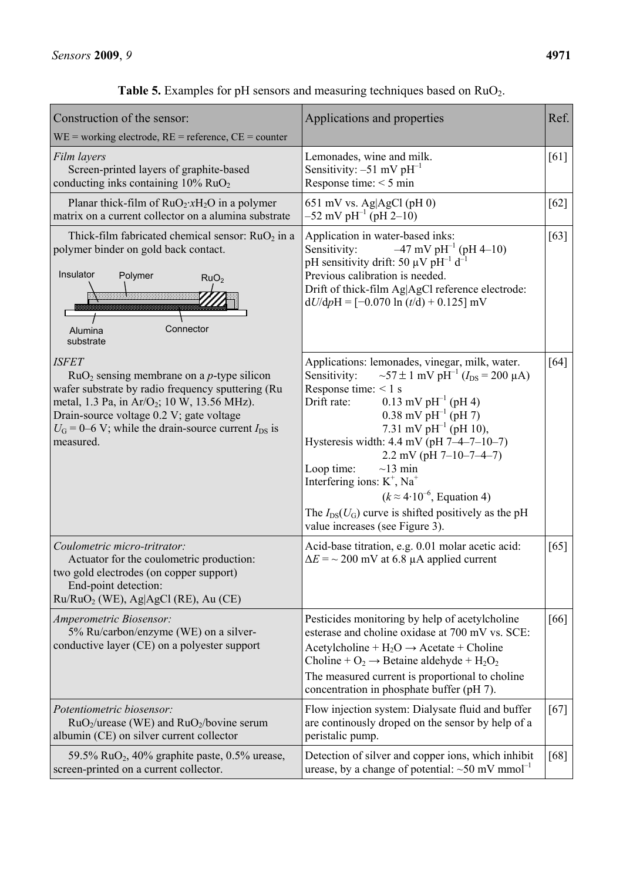| Construction of the sensor:<br>$WE = working electrode, RE = reference, CE = counter$                                                                                                                                                                                                                               | Applications and properties                                                                                                                                                                                                                                                                                                                                                                                                                                                                                                                                                    | Ref. |
|---------------------------------------------------------------------------------------------------------------------------------------------------------------------------------------------------------------------------------------------------------------------------------------------------------------------|--------------------------------------------------------------------------------------------------------------------------------------------------------------------------------------------------------------------------------------------------------------------------------------------------------------------------------------------------------------------------------------------------------------------------------------------------------------------------------------------------------------------------------------------------------------------------------|------|
| Film layers<br>Screen-printed layers of graphite-based<br>conducting inks containing $10\%$ RuO <sub>2</sub>                                                                                                                                                                                                        | Lemonades, wine and milk.<br>Sensitivity: $-51$ mV pH <sup>-1</sup><br>Response time: $<$ 5 min                                                                                                                                                                                                                                                                                                                                                                                                                                                                                | [61] |
| Planar thick-film of $RuO_2$ : $xH_2O$ in a polymer<br>matrix on a current collector on a alumina substrate                                                                                                                                                                                                         | 651 mV vs. Ag $AgCl$ (pH 0)<br>$-52$ mV pH <sup>-1</sup> (pH 2-10)                                                                                                                                                                                                                                                                                                                                                                                                                                                                                                             | [62] |
| Thick-film fabricated chemical sensor: $RuO2$ in a<br>polymer binder on gold back contact.<br>Insulator<br>Polymer<br>RuO <sub>2</sub><br>Connector<br>Alumina<br>substrate                                                                                                                                         | Application in water-based inks:<br>$-47$ mV pH <sup>-1</sup> (pH 4-10)<br>Sensitivity:<br>pH sensitivity drift: 50 $\mu$ V pH <sup>-1</sup> d <sup>-1</sup><br>Previous calibration is needed.<br>Drift of thick-film Ag AgCl reference electrode:<br>$dU/dpH = [-0.070 \ln (t/d) + 0.125] mV$                                                                                                                                                                                                                                                                                | [63] |
| <b>ISFET</b><br>$RuO2$ sensing membrane on a <i>p</i> -type silicon<br>wafer substrate by radio frequency sputtering (Ru<br>metal, 1.3 Pa, in Ar/O <sub>2</sub> ; 10 W, 13.56 MHz).<br>Drain-source voltage 0.2 V; gate voltage<br>$U_{\rm G}$ = 0–6 V; while the drain-source current $I_{\rm DS}$ is<br>measured. | Applications: lemonades, vinegar, milk, water.<br>$\sim$ 57 ± 1 mV pH <sup>-1</sup> ( $I_{DS}$ = 200 µA)<br>Sensitivity:<br>Response time: $< 1$ s<br>$0.13$ mV pH <sup>-1</sup> (pH 4)<br>Drift rate:<br>0.38 mV $\rm{pH}^{-1}$ (pH 7)<br>7.31 mV $\rm{pH}^{-1}$ (pH 10),<br>Hysteresis width: $4.4$ mV (pH 7-4-7-10-7)<br>$2.2$ mV (pH 7-10-7-4-7)<br>Loop time:<br>$\sim$ 13 min<br>Interfering ions: K <sup>+</sup> , Na <sup>+</sup><br>$(k \approx 4.10^{-6},$ Equation 4)<br>The $I_{DS}(U_G)$ curve is shifted positively as the pH<br>value increases (see Figure 3). | [64] |
| Coulometric micro-tritrator:<br>Actuator for the coulometric production:<br>two gold electrodes (on copper support)<br>End-point detection:<br>$Ru/RuO2$ (WE), Ag AgCl (RE), Au (CE)                                                                                                                                | Acid-base titration, e.g. 0.01 molar acetic acid:<br>$\Delta E$ = ~ 200 mV at 6.8 µA applied current                                                                                                                                                                                                                                                                                                                                                                                                                                                                           | [65] |
| Amperometric Biosensor:<br>5% Ru/carbon/enzyme (WE) on a silver-<br>conductive layer (CE) on a polyester support                                                                                                                                                                                                    | Pesticides monitoring by help of acetylcholine<br>esterase and choline oxidase at 700 mV vs. SCE:<br>Acetylcholine + $H_2O \rightarrow$ Acetate + Choline<br>Choline + $O_2 \rightarrow$ Betaine aldehyde + $H_2O_2$<br>The measured current is proportional to choline<br>concentration in phosphate buffer (pH 7).                                                                                                                                                                                                                                                           | [66] |
| Potentiometric biosensor:<br>$RuO2/urease$ (WE) and $RuO2/bovine serum$<br>albumin (CE) on silver current collector                                                                                                                                                                                                 | Flow injection system: Dialysate fluid and buffer<br>are continually droped on the sensor by help of a<br>peristalic pump.                                                                                                                                                                                                                                                                                                                                                                                                                                                     | [67] |
| 59.5% RuO <sub>2</sub> , 40% graphite paste, 0.5% urease,<br>screen-printed on a current collector.                                                                                                                                                                                                                 | Detection of silver and copper ions, which inhibit<br>urease, by a change of potential: $\sim 50$ mV mmol <sup>-1</sup>                                                                                                                                                                                                                                                                                                                                                                                                                                                        | [68] |

Table 5. Examples for pH sensors and measuring techniques based on RuO<sub>2</sub>.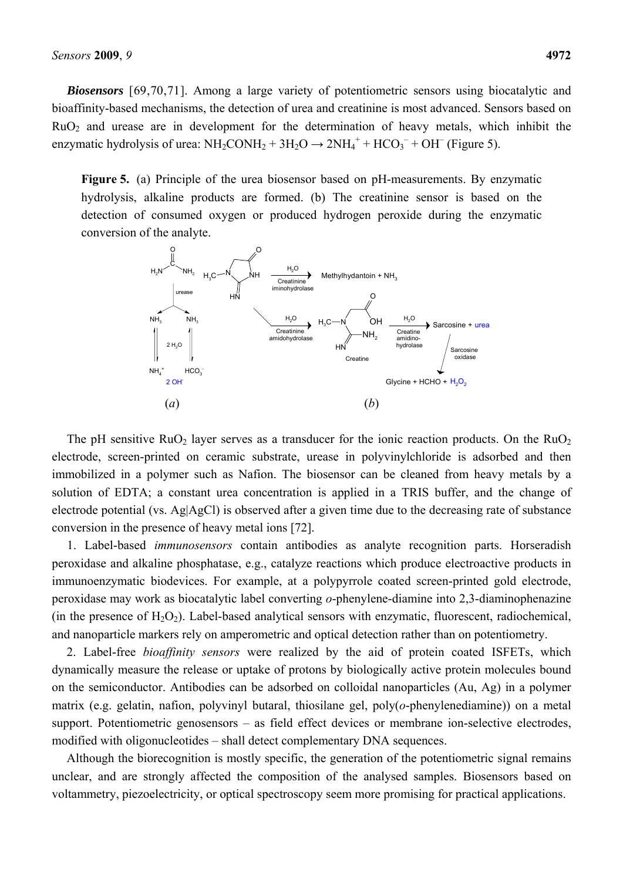*Biosensors* [69,70,71]. Among a large variety of potentiometric sensors using biocatalytic and bioaffinity-based mechanisms, the detection of urea and creatinine is most advanced. Sensors based on  $RuO<sub>2</sub>$  and urease are in development for the determination of heavy metals, which inhibit the enzymatic hydrolysis of urea:  $NH_2COMH_2 + 3H_2O \rightarrow 2NH_4^+ + HCO_3^- + OH^-$  (Figure 5).

**Figure 5.** (a) Principle of the urea biosensor based on pH-measurements. By enzymatic hydrolysis, alkaline products are formed. (b) The creatinine sensor is based on the detection of consumed oxygen or produced hydrogen peroxide during the enzymatic conversion of the analyte.



The pH sensitive  $RuO<sub>2</sub>$  layer serves as a transducer for the ionic reaction products. On the  $RuO<sub>2</sub>$ electrode, screen-printed on ceramic substrate, urease in polyvinylchloride is adsorbed and then immobilized in a polymer such as Nafion. The biosensor can be cleaned from heavy metals by a solution of EDTA; a constant urea concentration is applied in a TRIS buffer, and the change of electrode potential (vs.  $Ag|AgCl$ ) is observed after a given time due to the decreasing rate of substance conversion in the presence of heavy metal ions [72].

1. Label-based *immunosensors* contain antibodies as analyte recognition parts. Horseradish peroxidase and alkaline phosphatase, e.g., catalyze reactions which produce electroactive products in immunoenzymatic biodevices. For example, at a polypyrrole coated screen-printed gold electrode, peroxidase may work as biocatalytic label converting *o*-phenylene-diamine into 2,3-diaminophenazine (in the presence of  $H_2O_2$ ). Label-based analytical sensors with enzymatic, fluorescent, radiochemical, and nanoparticle markers rely on amperometric and optical detection rather than on potentiometry.

2. Label-free *bioaffinity sensors* were realized by the aid of protein coated ISFETs, which dynamically measure the release or uptake of protons by biologically active protein molecules bound on the semiconductor. Antibodies can be adsorbed on colloidal nanoparticles (Au, Ag) in a polymer matrix (e.g. gelatin, nafion, polyvinyl butaral, thiosilane gel, poly(*o*-phenylenediamine)) on a metal support. Potentiometric genosensors – as field effect devices or membrane ion-selective electrodes, modified with oligonucleotides – shall detect complementary DNA sequences.

Although the biorecognition is mostly specific, the generation of the potentiometric signal remains unclear, and are strongly affected the composition of the analysed samples. Biosensors based on voltammetry, piezoelectricity, or optical spectroscopy seem more promising for practical applications.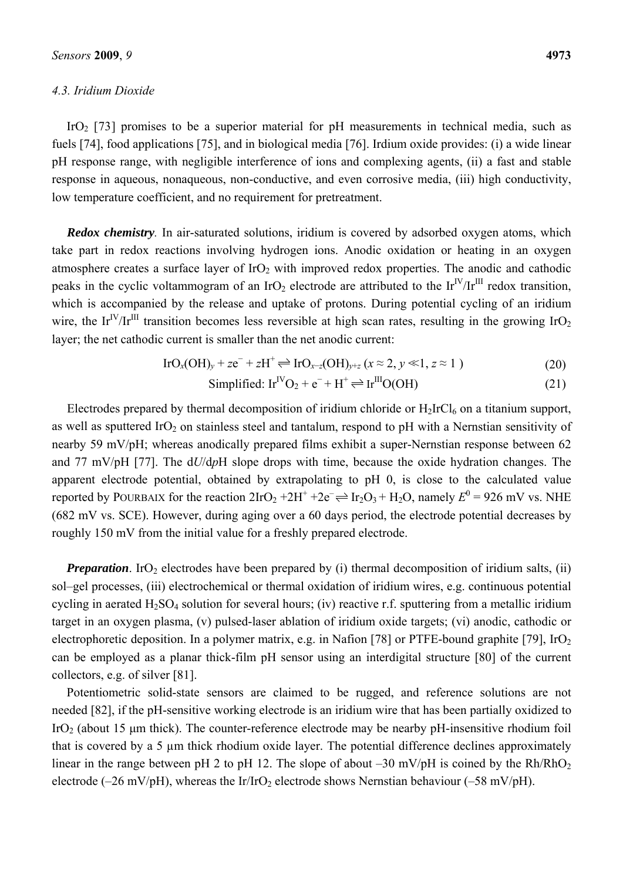### *4.3. Iridium Dioxide*

IrO<sub>2</sub> [73] promises to be a superior material for pH measurements in technical media, such as fuels [74], food applications [75], and in biological media [76]. Irdium oxide provides: (i) a wide linear pH response range, with negligible interference of ions and complexing agents, (ii) a fast and stable response in aqueous, nonaqueous, non-conductive, and even corrosive media, (iii) high conductivity, low temperature coefficient, and no requirement for pretreatment.

*Redox chemistry*. In air-saturated solutions, iridium is covered by adsorbed oxygen atoms, which take part in redox reactions involving hydrogen ions. Anodic oxidation or heating in an oxygen atmosphere creates a surface layer of  $IrO<sub>2</sub>$  with improved redox properties. The anodic and cathodic peaks in the cyclic voltammogram of an IrO<sub>2</sub> electrode are attributed to the Ir<sup>IV</sup>/Ir<sup>III</sup> redox transition, which is accompanied by the release and uptake of protons. During potential cycling of an iridium wire, the Ir<sup>IV</sup>/Ir<sup>III</sup> transition becomes less reversible at high scan rates, resulting in the growing IrO<sub>2</sub> layer; the net cathodic current is smaller than the net anodic current:

$$
\text{IrO}_x(\text{OH})_y + z\text{e}^- + z\text{H}^+ \rightleftharpoons \text{IrO}_{x-z}(\text{OH})_{y+z} \ (x \approx 2, y \ll 1, z \approx 1 \ ) \tag{20}
$$

Simplified: 
$$
\text{Ir}^{\text{IV}}\text{O}_2 + e^- + H^+ \rightleftharpoons \text{Ir}^{\text{III}}\text{O}(\text{OH})
$$
 (21)

Electrodes prepared by thermal decomposition of iridium chloride or  $H_2IrCl_6$  on a titanium support, as well as sputtered IrO<sub>2</sub> on stainless steel and tantalum, respond to pH with a Nernstian sensitivity of nearby 59 mV/pH; whereas anodically prepared films exhibit a super-Nernstian response between 62 and 77 mV/pH [77]. The d*U*/d*p*H slope drops with time, because the oxide hydration changes. The apparent electrode potential, obtained by extrapolating to pH 0, is close to the calculated value reported by POURBAIX for the reaction  $2IrO_2 + 2H^+ + 2e^- \rightleftharpoons Ir_2O_3 + H_2O$ , namely  $E^0 = 926$  mV vs. NHE (682 mV vs. SCE). However, during aging over a 60 days period, the electrode potential decreases by roughly 150 mV from the initial value for a freshly prepared electrode.

*Preparation*. IrO<sub>2</sub> electrodes have been prepared by (i) thermal decomposition of iridium salts, (ii) sol–gel processes, (iii) electrochemical or thermal oxidation of iridium wires, e.g. continuous potential cycling in aerated  $H_2SO_4$  solution for several hours; (iv) reactive r.f. sputtering from a metallic iridium target in an oxygen plasma, (v) pulsed-laser ablation of iridium oxide targets; (vi) anodic, cathodic or electrophoretic deposition. In a polymer matrix, e.g. in Nafion [78] or PTFE-bound graphite [79],  $IrO<sub>2</sub>$ can be employed as a planar thick-film pH sensor using an interdigital structure [80] of the current collectors, e.g. of silver [81].

Potentiometric solid-state sensors are claimed to be rugged, and reference solutions are not needed [82], if the pH-sensitive working electrode is an iridium wire that has been partially oxidized to IrO<sub>2</sub> (about 15  $\mu$ m thick). The counter-reference electrode may be nearby pH-insensitive rhodium foil that is covered by a 5 µm thick rhodium oxide layer. The potential difference declines approximately linear in the range between pH 2 to pH 12. The slope of about  $-30$  mV/pH is coined by the Rh/RhO<sub>2</sub> electrode (–26 mV/pH), whereas the Ir/IrO<sub>2</sub> electrode shows Nernstian behaviour (–58 mV/pH).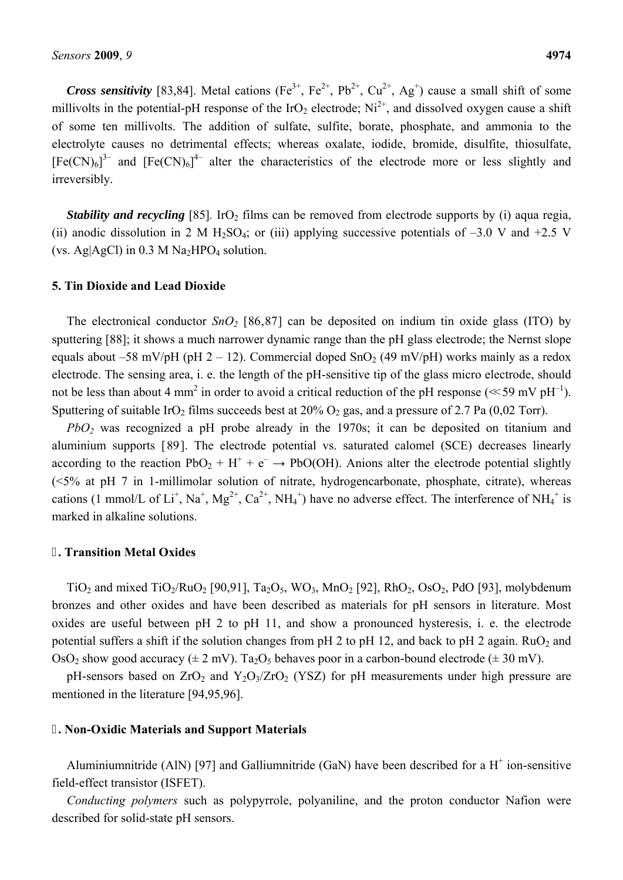*Cross sensitivity* [83,84]. Metal cations (Fe<sup>3+</sup>, Fe<sup>2+</sup>, Pb<sup>2+</sup>, Cu<sup>2+</sup>, Ag<sup>+</sup>) cause a small shift of some millivolts in the potential-pH response of the IrO<sub>2</sub> electrode;  $Ni^{2+}$ , and dissolved oxygen cause a shift of some ten millivolts. The addition of sulfate, sulfite, borate, phosphate, and ammonia to the electrolyte causes no detrimental effects; whereas oxalate, iodide, bromide, disulfite, thiosulfate,  $[Fe(CN)_6]^3$ <sup>-</sup> and  $[Fe(CN)_6]^4$ <sup>-</sup> alter the characteristics of the electrode more or less slightly and irreversibly.

*Stability and recycling* [85]. IrO<sub>2</sub> films can be removed from electrode supports by (i) aqua regia, (ii) anodic dissolution in 2 M H<sub>2</sub>SO<sub>4</sub>; or (iii) applying successive potentials of  $-3.0$  V and  $+2.5$  V (vs. Ag $\text{AgAgCl}$ ) in 0.3 M Na<sub>2</sub>HPO<sub>4</sub> solution.

#### **5. Tin Dioxide and Lead Dioxide**

The electronical conductor  $SnO_2$  [86,87] can be deposited on indium tin oxide glass (ITO) by sputtering [88]; it shows a much narrower dynamic range than the pH glass electrode; the Nernst slope equals about –58 mV/pH (pH 2 – 12). Commercial doped SnO<sub>2</sub> (49 mV/pH) works mainly as a redox electrode. The sensing area, i. e. the length of the pH-sensitive tip of the glass micro electrode, should not be less than about 4 mm<sup>2</sup> in order to avoid a critical reduction of the pH response ( $\ll$  59 mV pH<sup>-1</sup>). Sputtering of suitable IrO<sub>2</sub> films succeeds best at  $20\%$  O<sub>2</sub> gas, and a pressure of 2.7 Pa (0,02 Torr).

*PbO2* was recognized a pH probe already in the 1970s; it can be deposited on titanium and aluminium supports [89]. The electrode potential vs. saturated calomel (SCE) decreases linearly according to the reaction  $PbO_2 + H^+ + e^- \rightarrow PbO(OH)$ . Anions alter the electrode potential slightly (<5% at pH 7 in 1-millimolar solution of nitrate, hydrogencarbonate, phosphate, citrate), whereas cations (1 mmol/L of Li<sup>+</sup>, Na<sup>+</sup>, Mg<sup>2+</sup>, Ca<sup>2+</sup>, NH<sub>4</sub><sup>+</sup>) have no adverse effect. The interference of NH<sub>4</sub><sup>+</sup> is marked in alkaline solutions.

#### **. Transition Metal Oxides**

TiO<sub>2</sub> and mixed TiO<sub>2</sub>/RuO<sub>2</sub> [90,91], Ta<sub>2</sub>O<sub>5</sub>, WO<sub>3</sub>, MnO<sub>2</sub> [92], RhO<sub>2</sub>, OsO<sub>2</sub>, PdO [93], molybdenum bronzes and other oxides and have been described as materials for pH sensors in literature. Most oxides are useful between pH 2 to pH 11, and show a pronounced hysteresis, i. e. the electrode potential suffers a shift if the solution changes from pH 2 to pH 12, and back to pH 2 again.  $RuO<sub>2</sub>$  and OsO<sub>2</sub> show good accuracy ( $\pm 2$  mV). Ta<sub>2</sub>O<sub>5</sub> behaves poor in a carbon-bound electrode ( $\pm 30$  mV).

pH-sensors based on  $ZrO_2$  and  $Y_2O_3/ZrO_2$  (YSZ) for pH measurements under high pressure are mentioned in the literature [94,95,96].

# **. Non-Oxidic Materials and Support Materials**

Aluminiumnitride (AlN) [97] and Galliumnitride (GaN) have been described for a  $H^+$  ion-sensitive field-effect transistor (ISFET).

*Conducting polymers* such as polypyrrole, polyaniline, and the proton conductor Nafion were described for solid-state pH sensors.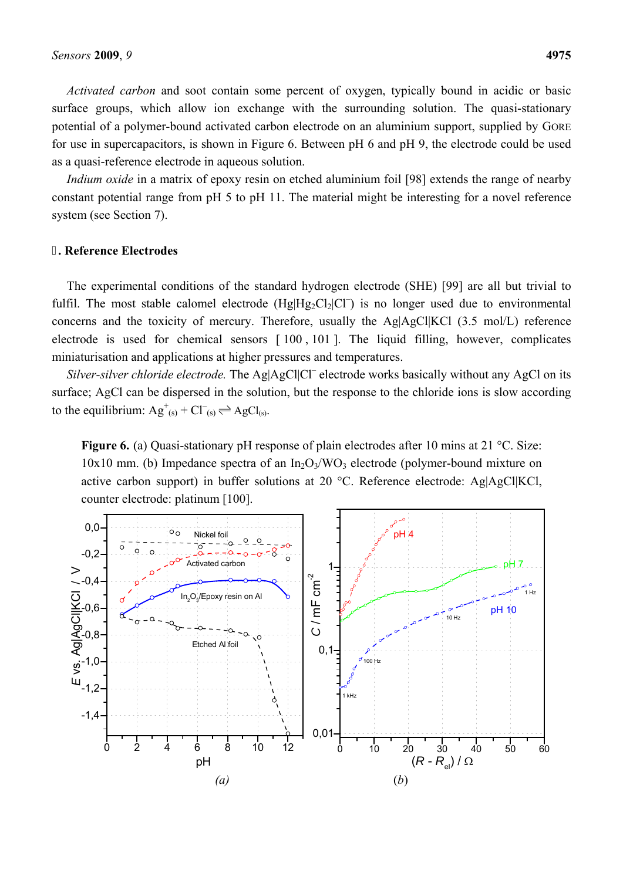*Activated carbon* and soot contain some percent of oxygen, typically bound in acidic or basic surface groups, which allow ion exchange with the surrounding solution. The quasi-stationary potential of a polymer-bound activated carbon electrode on an aluminium support, supplied by GORE for use in supercapacitors, is shown in Figure 6. Between pH 6 and pH 9, the electrode could be used as a quasi-reference electrode in aqueous solution.

*Indium oxide* in a matrix of epoxy resin on etched aluminium foil [98] extends the range of nearby constant potential range from pH 5 to pH 11. The material might be interesting for a novel reference system (see Section 7).

## **. Reference Electrodes**

The experimental conditions of the standard hydrogen electrode (SHE) [99] are all but trivial to fulfil. The most stable calomel electrode  $(Hg|Hg_2Cl_2|Cl^-)$  is no longer used due to environmental concerns and the toxicity of mercury. Therefore, usually the Ag|AgCl|KCl (3.5 mol/L) reference electrode is used for chemical sensors [ 100 , 101 ]. The liquid filling, however, complicates miniaturisation and applications at higher pressures and temperatures.

Silver-silver chloride electrode. The Ag|AgCl|Cl<sup>–</sup> electrode works basically without any AgCl on its surface; AgCl can be dispersed in the solution, but the response to the chloride ions is slow according to the equilibrium:  $Ag^+_{(s)} + Cl^-_{(s)} \rightleftharpoons AgCl_{(s)}$ .

**Figure 6.** (a) Quasi-stationary pH response of plain electrodes after 10 mins at 21 °C. Size:  $10x10$  mm. (b) Impedance spectra of an  $In_2O_3/WO_3$  electrode (polymer-bound mixture on active carbon support) in buffer solutions at 20 °C. Reference electrode: Ag|AgCl|KCl, counter electrode: platinum [100].

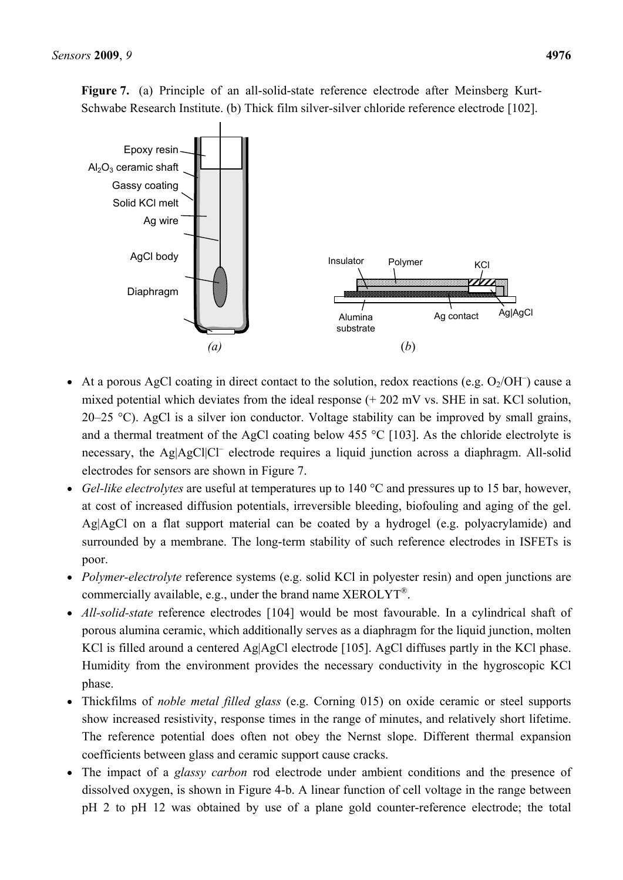**Figure 7.** (a) Principle of an all-solid-state reference electrode after Meinsberg Kurt-Schwabe Research Institute. (b) Thick film silver-silver chloride reference electrode [102].



- At a porous AgCl coating in direct contact to the solution, redox reactions (e.g.  $O_2/OH^-$ ) cause a mixed potential which deviates from the ideal response (+ 202 mV vs. SHE in sat. KCl solution, 20–25 °C). AgCl is a silver ion conductor. Voltage stability can be improved by small grains, and a thermal treatment of the AgCl coating below 455 °C [103]. As the chloride electrolyte is necessary, the Ag|AgCl|Cl<sup>-</sup> electrode requires a liquid junction across a diaphragm. All-solid electrodes for sensors are shown in Figure 7.
- *Gel-like electrolytes* are useful at temperatures up to 140 °C and pressures up to 15 bar, however, at cost of increased diffusion potentials, irreversible bleeding, biofouling and aging of the gel. Ag|AgCl on a flat support material can be coated by a hydrogel (e.g. polyacrylamide) and surrounded by a membrane. The long-term stability of such reference electrodes in ISFETs is poor.
- *Polymer-electrolyte* reference systems (e.g. solid KCl in polyester resin) and open junctions are commercially available, e.g., under the brand name XEROLYT®.
- *All-solid-state* reference electrodes [104] would be most favourable. In a cylindrical shaft of porous alumina ceramic, which additionally serves as a diaphragm for the liquid junction, molten KCl is filled around a centered Ag|AgCl electrode [105]. AgCl diffuses partly in the KCl phase. Humidity from the environment provides the necessary conductivity in the hygroscopic KCl phase.
- Thickfilms of *noble metal filled glass* (e.g. Corning 015) on oxide ceramic or steel supports show increased resistivity, response times in the range of minutes, and relatively short lifetime. The reference potential does often not obey the Nernst slope. Different thermal expansion coefficients between glass and ceramic support cause cracks.
- The impact of a *glassy carbon* rod electrode under ambient conditions and the presence of dissolved oxygen, is shown in Figure 4-b. A linear function of cell voltage in the range between pH 2 to pH 12 was obtained by use of a plane gold counter-reference electrode; the total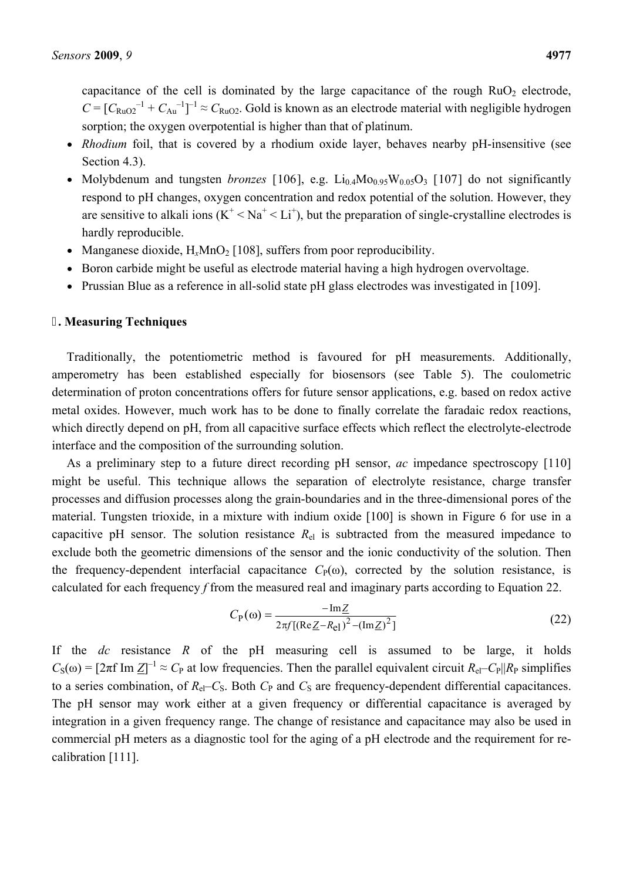capacitance of the cell is dominated by the large capacitance of the rough  $RuO<sub>2</sub>$  electrode,  $C = [C_{RuO2}^{-1} + C_{Au}^{-1}]^{-1} \approx C_{RuO2}$ . Gold is known as an electrode material with negligible hydrogen sorption; the oxygen overpotential is higher than that of platinum.

- *Rhodium* foil, that is covered by a rhodium oxide layer, behaves nearby pH-insensitive (see Section 4.3).
- Molybdenum and tungsten *bronzes* [106], e.g.  $Li_{0.4}Mo_{0.95}W_{0.05}O_3$  [107] do not significantly respond to pH changes, oxygen concentration and redox potential of the solution. However, they are sensitive to alkali ions  $(K^+ < Na^+ < Li^+)$ , but the preparation of single-crystalline electrodes is hardly reproducible.
- Manganese dioxide,  $H_xMnO_2$  [108], suffers from poor reproducibility.
- Boron carbide might be useful as electrode material having a high hydrogen overvoltage.
- Prussian Blue as a reference in all-solid state pH glass electrodes was investigated in [109].

### **. Measuring Techniques**

Traditionally, the potentiometric method is favoured for pH measurements. Additionally, amperometry has been established especially for biosensors (see Table 5). The coulometric determination of proton concentrations offers for future sensor applications, e.g. based on redox active metal oxides. However, much work has to be done to finally correlate the faradaic redox reactions, which directly depend on pH, from all capacitive surface effects which reflect the electrolyte-electrode interface and the composition of the surrounding solution.

As a preliminary step to a future direct recording pH sensor, *ac* impedance spectroscopy [110] might be useful. This technique allows the separation of electrolyte resistance, charge transfer processes and diffusion processes along the grain-boundaries and in the three-dimensional pores of the material. Tungsten trioxide, in a mixture with indium oxide [100] is shown in Figure 6 for use in a capacitive pH sensor. The solution resistance  $R_{el}$  is subtracted from the measured impedance to exclude both the geometric dimensions of the sensor and the ionic conductivity of the solution. Then the frequency-dependent interfacial capacitance  $C_P(\omega)$ , corrected by the solution resistance, is calculated for each frequency *f* from the measured real and imaginary parts according to Equation 22.

$$
C_{\rm P}(\omega) = \frac{-\mathrm{Im}\,Z}{2\pi f[(\mathrm{Re}\,Z - R_{\rm e})^2 - (\mathrm{Im}\,Z)^2]}
$$
(22)

If the *dc* resistance *R* of the pH measuring cell is assumed to be large, it holds  $C_S(\omega) = [2\pi f \text{ Im } \underline{Z}]^{-1} \approx C_P$  at low frequencies. Then the parallel equivalent circuit  $R_{el} - C_P ||R_P$  simplifies to a series combination, of  $R_{el}$ – $C_S$ . Both  $C_P$  and  $C_S$  are frequency-dependent differential capacitances. The pH sensor may work either at a given frequency or differential capacitance is averaged by integration in a given frequency range. The change of resistance and capacitance may also be used in commercial pH meters as a diagnostic tool for the aging of a pH electrode and the requirement for recalibration [111].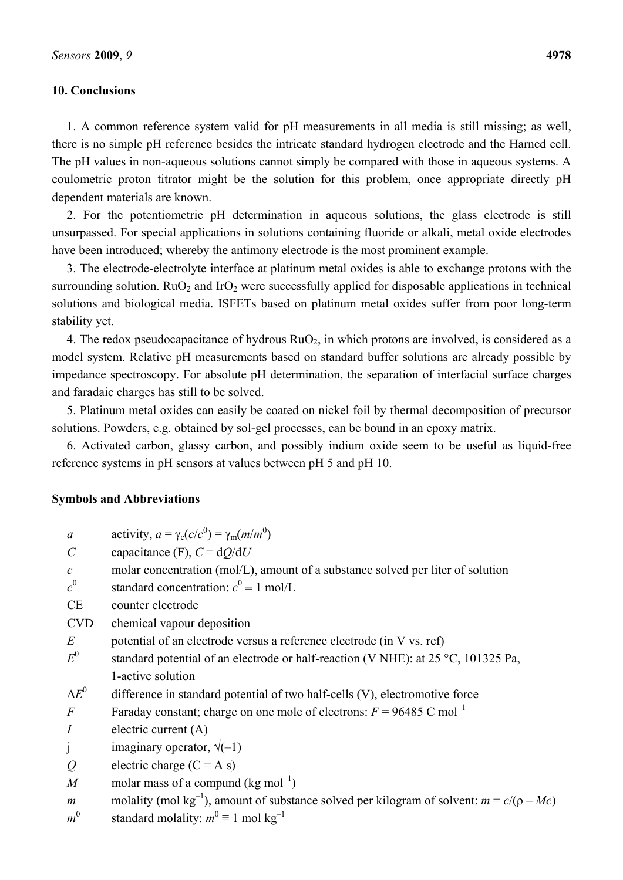## **10. Conclusions**

1. A common reference system valid for pH measurements in all media is still missing; as well, there is no simple pH reference besides the intricate standard hydrogen electrode and the Harned cell. The pH values in non-aqueous solutions cannot simply be compared with those in aqueous systems. A coulometric proton titrator might be the solution for this problem, once appropriate directly pH dependent materials are known.

2. For the potentiometric pH determination in aqueous solutions, the glass electrode is still unsurpassed. For special applications in solutions containing fluoride or alkali, metal oxide electrodes have been introduced; whereby the antimony electrode is the most prominent example.

3. The electrode-electrolyte interface at platinum metal oxides is able to exchange protons with the surrounding solution.  $RuO<sub>2</sub>$  and IrO<sub>2</sub> were successfully applied for disposable applications in technical solutions and biological media. ISFETs based on platinum metal oxides suffer from poor long-term stability yet.

4. The redox pseudocapacitance of hydrous  $RuO<sub>2</sub>$ , in which protons are involved, is considered as a model system. Relative pH measurements based on standard buffer solutions are already possible by impedance spectroscopy. For absolute pH determination, the separation of interfacial surface charges and faradaic charges has still to be solved.

5. Platinum metal oxides can easily be coated on nickel foil by thermal decomposition of precursor solutions. Powders, e.g. obtained by sol-gel processes, can be bound in an epoxy matrix.

6. Activated carbon, glassy carbon, and possibly indium oxide seem to be useful as liquid-free reference systems in pH sensors at values between pH 5 and pH 10.

### **Symbols and Abbreviations**

| $\mathfrak a$           | activity, $a = \gamma_c(c/c^0) = \gamma_m(m/m^0)$                                                         |
|-------------------------|-----------------------------------------------------------------------------------------------------------|
| $\mathcal{C}_{0}^{(n)}$ | capacitance (F), $C = dQ/dU$                                                                              |
| $\mathcal{C}$           | molar concentration (mol/L), amount of a substance solved per liter of solution                           |
| $c^0$                   | standard concentration: $c^0 \equiv 1$ mol/L                                                              |
| <b>CE</b>               | counter electrode                                                                                         |
| <b>CVD</b>              | chemical vapour deposition                                                                                |
| $E_{\rm}$               | potential of an electrode versus a reference electrode (in V vs. ref)                                     |
| $E^0$                   | standard potential of an electrode or half-reaction (V NHE): at $25 \degree C$ , 101325 Pa,               |
|                         | 1-active solution                                                                                         |
| $\Delta E^0$            | difference in standard potential of two half-cells (V), electromotive force                               |
| $\,F$                   | Faraday constant; charge on one mole of electrons: $F = 96485$ C mol <sup>-1</sup>                        |
| $\overline{I}$          | electric current $(A)$                                                                                    |
| j                       | imaginary operator, $\sqrt{(-1)}$                                                                         |
| $\mathcal{Q}$           | electric charge $(C = A s)$                                                                               |
| $\overline{M}$          | molar mass of a compund ( $kg \text{ mol}^{-1}$ )                                                         |
| $\boldsymbol{m}$        | molality (mol kg <sup>-1</sup> ), amount of substance solved per kilogram of solvent: $m = c/(\rho - Mc)$ |
| $m^0$                   | standard molality: $m^0 \equiv 1$ mol kg <sup>-1</sup>                                                    |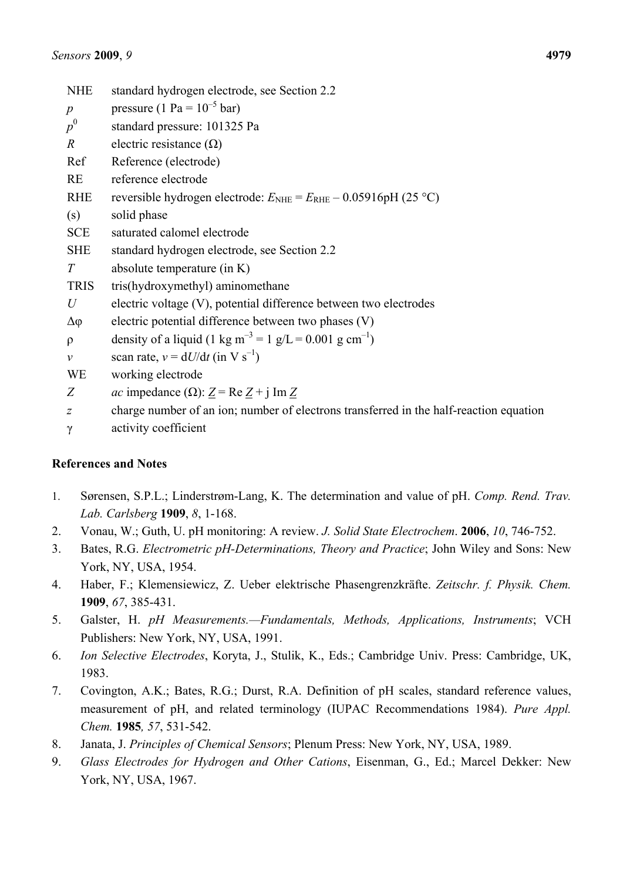| <b>NHE</b>       | standard hydrogen electrode, see Section 2.2                                                 |
|------------------|----------------------------------------------------------------------------------------------|
| $\boldsymbol{p}$ | pressure (1 Pa = $10^{-5}$ bar)                                                              |
| $p^0$            | standard pressure: 101325 Pa                                                                 |
| $\boldsymbol{R}$ | electric resistance $(\Omega)$                                                               |
| Ref              | Reference (electrode)                                                                        |
| <b>RE</b>        | reference electrode                                                                          |
| <b>RHE</b>       | reversible hydrogen electrode: $E_{\text{NHE}} = E_{\text{RHE}} - 0.05916 \text{pH}$ (25 °C) |
| (s)              | solid phase                                                                                  |
| <b>SCE</b>       | saturated calomel electrode                                                                  |
| <b>SHE</b>       | standard hydrogen electrode, see Section 2.2                                                 |
| T                | absolute temperature (in K)                                                                  |
| <b>TRIS</b>      | tris(hydroxymethyl) aminomethane                                                             |
| $\mathcal U$     | electric voltage (V), potential difference between two electrodes                            |
| Δφ               | electric potential difference between two phases (V)                                         |
| $\rho$           | density of a liquid (1 kg m <sup>-3</sup> = 1 g/L = 0.001 g cm <sup>-1</sup> )               |
| $\mathcal V$     | scan rate, $v = dU/dt$ (in V s <sup>-1</sup> )                                               |
| <b>WE</b>        | working electrode                                                                            |
| Z                | <i>ac</i> impedance ( $\Omega$ ): $Z = \text{Re } Z + j \text{ Im } Z$                       |
| $\overline{z}$   | charge number of an ion; number of electrons transferred in the half-reaction equation       |
| $\gamma$         | activity coefficient                                                                         |

# **References and Notes**

- 1. Sørensen, S.P.L.; Linderstrøm-Lang, K. The determination and value of pH. *Comp. Rend. Trav. Lab. Carlsberg* **1909**, *8*, 1-168.
- 2. Vonau, W.; Guth, U. pH monitoring: A review. *J. Solid State Electrochem*. **2006**, *10*, 746-752.
- 3. Bates, R.G. *Electrometric pH-Determinations, Theory and Practice*; John Wiley and Sons: New York, NY, USA, 1954.
- 4. Haber, F.; Klemensiewicz, Z. Ueber elektrische Phasengrenzkräfte. *Zeitschr. f. Physik. Chem.* **1909**, *67*, 385-431.
- 5. Galster, H. *pH Measurements.—Fundamentals, Methods, Applications, Instruments*; VCH Publishers: New York, NY, USA, 1991.
- 6. *Ion Selective Electrodes*, Koryta, J., Stulik, K., Eds.; Cambridge Univ. Press: Cambridge, UK, 1983.
- 7. Covington, A.K.; Bates, R.G.; Durst, R.A. Definition of pH scales, standard reference values, measurement of pH, and related terminology (IUPAC Recommendations 1984). *Pure Appl. Chem.* **1985***, 57*, 531-542.
- 8. Janata, J. *Principles of Chemical Sensors*; Plenum Press: New York, NY, USA, 1989.
- 9. *Glass Electrodes for Hydrogen and Other Cations*, Eisenman, G., Ed.; Marcel Dekker: New York, NY, USA, 1967.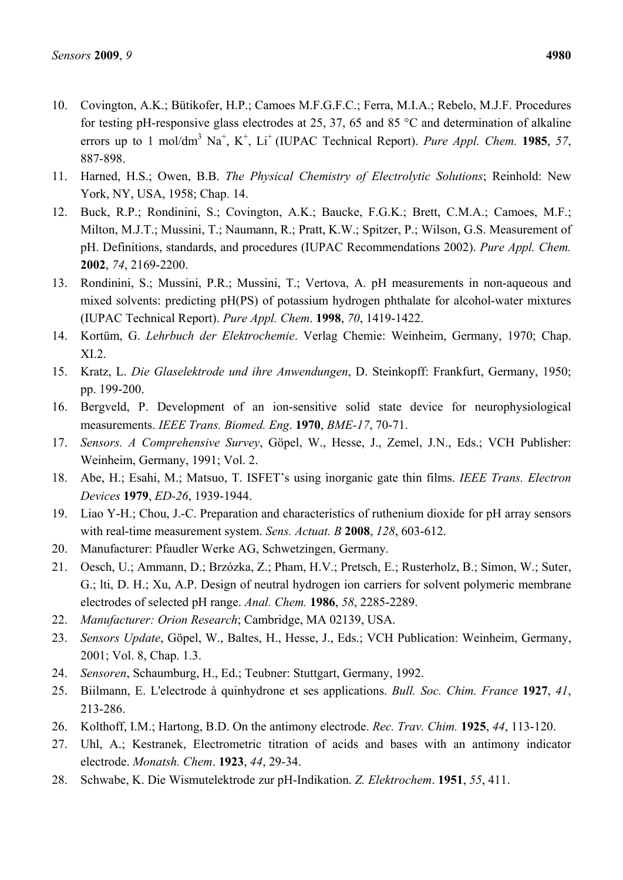- 10. Covington, A.K.; Bütikofer, H.P.; Camoes M.F.G.F.C.; Ferra, M.I.A.; Rebelo, M.J.F. Procedures for testing pH-responsive glass electrodes at 25, 37, 65 and 85 °C and determination of alkaline errors up to 1 mol/dm<sup>3</sup> Na<sup>+</sup>, K<sup>+</sup>, Li<sup>+</sup> (IUPAC Technical Report). *Pure Appl. Chem.* **1985**, 57, 887-898.
- 11. Harned, H.S.; Owen, B.B. *The Physical Chemistry of Electrolytic Solutions*; Reinhold: New York, NY, USA, 1958; Chap. 14.
- 12. Buck, R.P.; Rondinini, S.; Covington, A.K.; Baucke, F.G.K.; Brett, C.M.A.; Camoes, M.F.; Milton, M.J.T.; Mussini, T.; Naumann, R.; Pratt, K.W.; Spitzer, P.; Wilson, G.S. Measurement of pH. Definitions, standards, and procedures (IUPAC Recommendations 2002). *Pure Appl. Chem.* **2002**, *74*, 2169-2200.
- 13. Rondinini, S.; Mussini, P.R.; Mussini, T.; Vertova, A. pH measurements in non-aqueous and mixed solvents: predicting pH(PS) of potassium hydrogen phthalate for alcohol-water mixtures (IUPAC Technical Report). *Pure Appl. Chem*. **1998**, *70*, 1419-1422.
- 14. Kortüm, G. *Lehrbuch der Elektrochemie*. Verlag Chemie: Weinheim, Germany, 1970; Chap. XI.2.
- 15. Kratz, L. *Die Glaselektrode und ihre Anwendungen*, D. Steinkopff: Frankfurt, Germany, 1950; pp. 199-200.
- 16. Bergveld, P. Development of an ion-sensitive solid state device for neurophysiological measurements. *IEEE Trans. Biomed. Eng*. **1970**, *BME-17*, 70-71.
- 17. *Sensors. A Comprehensive Survey*, Göpel, W., Hesse, J., Zemel, J.N., Eds.; VCH Publisher: Weinheim, Germany, 1991; Vol. 2.
- 18. Abe, H.; Esahi, M.; Matsuo, T. ISFET's using inorganic gate thin films. *IEEE Trans. Electron Devices* **1979**, *ED-26*, 1939-1944.
- 19. Liao Y-H.; Chou, J.-C. Preparation and characteristics of ruthenium dioxide for pH array sensors with real-time measurement system. *Sens. Actuat. B* **2008**, *128*, 603-612.
- 20. Manufacturer: Pfaudler Werke AG, Schwetzingen, Germany.
- 21. Oesch, U.; Ammann, D.; Brzózka, Z.; Pham, H.V.; Pretsch, E.; Rusterholz, B.; Simon, W.; Suter, G.; lti, D. H.; Xu, A.P. Design of neutral hydrogen ion carriers for solvent polymeric membrane electrodes of selected pH range. *Anal. Chem.* **1986**, *58*, 2285-2289.
- 22. *Manufacturer: Orion Research*; Cambridge, MA 02139, USA.
- 23. *Sensors Update*, Göpel, W., Baltes, H., Hesse, J., Eds.; VCH Publication: Weinheim, Germany, 2001; Vol. 8, Chap. 1.3.
- 24. *Sensoren*, Schaumburg, H., Ed.; Teubner: Stuttgart, Germany, 1992.
- 25. Biilmann, E. L'electrode à quinhydrone et ses applications. *Bull. Soc. Chim. France* **1927**, *41*, 213-286.
- 26. Kolthoff, I.M.; Hartong, B.D. On the antimony electrode. *Rec. Trav. Chim.* **1925**, *44*, 113-120.
- 27. Uhl, A.; Kestranek, Electrometric titration of acids and bases with an antimony indicator electrode. *Monatsh. Chem*. **1923**, *44*, 29-34.
- 28. Schwabe, K. Die Wismutelektrode zur pH-Indikation. *Z. Elektrochem*. **1951**, *55*, 411.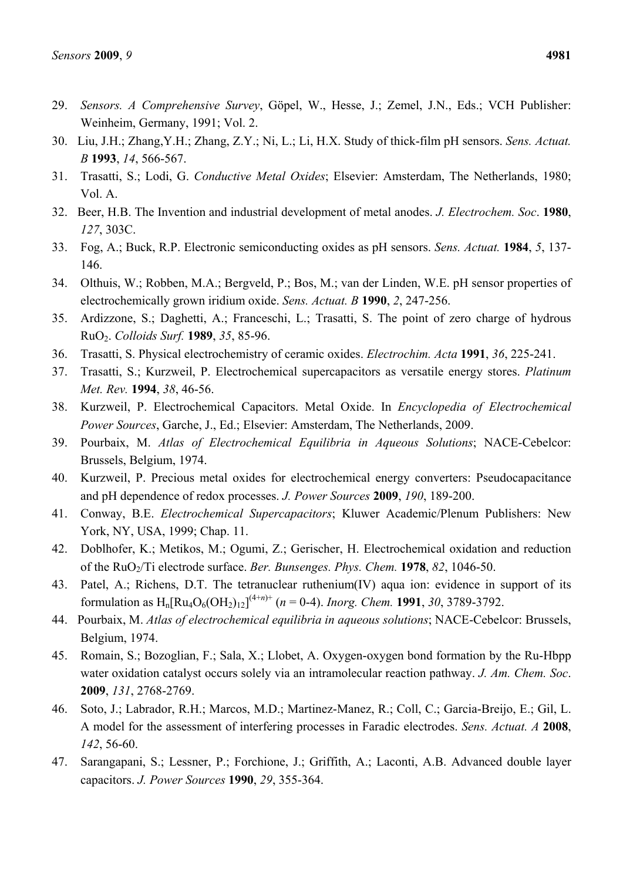- 29. *Sensors. A Comprehensive Survey*, Göpel, W., Hesse, J.; Zemel, J.N., Eds.; VCH Publisher: Weinheim, Germany, 1991; Vol. 2.
- 30. Liu, J.H.; Zhang,Y.H.; Zhang, Z.Y.; Ni, L.; Li, H.X. Study of thick-film pH sensors. *Sens. Actuat. B* **1993**, *14*, 566-567.
- 31. Trasatti, S.; Lodi, G. *Conductive Metal Oxides*; Elsevier: Amsterdam, The Netherlands, 1980; Vol. A.
- 32. Beer, H.B. The Invention and industrial development of metal anodes. *J. Electrochem. Soc*. **1980**, *127*, 303C.
- 33. Fog, A.; Buck, R.P. Electronic semiconducting oxides as pH sensors. *Sens. Actuat.* **1984**, *5*, 137- 146.
- 34. Olthuis, W.; Robben, M.A.; Bergveld, P.; Bos, M.; van der Linden, W.E. pH sensor properties of electrochemically grown iridium oxide. *Sens. Actuat. B* **1990**, *2*, 247-256.
- 35. Ardizzone, S.; Daghetti, A.; Franceschi, L.; Trasatti, S. The point of zero charge of hydrous RuO2. *Colloids Surf.* **1989**, *35*, 85-96.
- 36. Trasatti, S. Physical electrochemistry of ceramic oxides. *Electrochim. Acta* **1991**, *36*, 225-241.
- 37. Trasatti, S.; Kurzweil, P. Electrochemical supercapacitors as versatile energy stores. *Platinum Met. Rev.* **1994**, *38*, 46-56.
- 38. Kurzweil, P. Electrochemical Capacitors. Metal Oxide. In *Encyclopedia of Electrochemical Power Sources*, Garche, J., Ed.; Elsevier: Amsterdam, The Netherlands, 2009.
- 39. Pourbaix, M. *Atlas of Electrochemical Equilibria in Aqueous Solutions*; NACE-Cebelcor: Brussels, Belgium, 1974.
- 40. Kurzweil, P. Precious metal oxides for electrochemical energy converters: Pseudocapacitance and pH dependence of redox processes. *J. Power Sources* **2009**, *190*, 189-200.
- 41. Conway, B.E. *Electrochemical Supercapacitors*; Kluwer Academic/Plenum Publishers: New York, NY, USA, 1999; Chap. 11.
- 42. Doblhofer, K.; Metikos, M.; Ogumi, Z.; Gerischer, H. Electrochemical oxidation and reduction of the RuO2/Ti electrode surface. *Ber. Bunsenges. Phys. Chem.* **1978**, *82*, 1046-50.
- 43. Patel, A.; Richens, D.T. The tetranuclear ruthenium(IV) aqua ion: evidence in support of its formulation as  $H_n[Ru_4O_6(OH_2)_{12}]^{(4+n)+}$  (*n* = 0-4). *Inorg. Chem.* **1991**, 30, 3789-3792.
- 44. Pourbaix, M. *Atlas of electrochemical equilibria in aqueous solutions*; NACE-Cebelcor: Brussels, Belgium, 1974.
- 45. Romain, S.; Bozoglian, F.; Sala, X.; Llobet, A. Oxygen-oxygen bond formation by the Ru-Hbpp water oxidation catalyst occurs solely via an intramolecular reaction pathway. *J. Am. Chem. Soc*. **2009**, *131*, 2768-2769.
- 46. Soto, J.; Labrador, R.H.; Marcos, M.D.; Martinez-Manez, R.; Coll, C.; Garcia-Breijo, E.; Gil, L. A model for the assessment of interfering processes in Faradic electrodes. *Sens. Actuat. A* **2008**, *142*, 56-60.
- 47. Sarangapani, S.; Lessner, P.; Forchione, J.; Griffith, A.; Laconti, A.B. Advanced double layer capacitors. *J. Power Sources* **1990**, *29*, 355-364.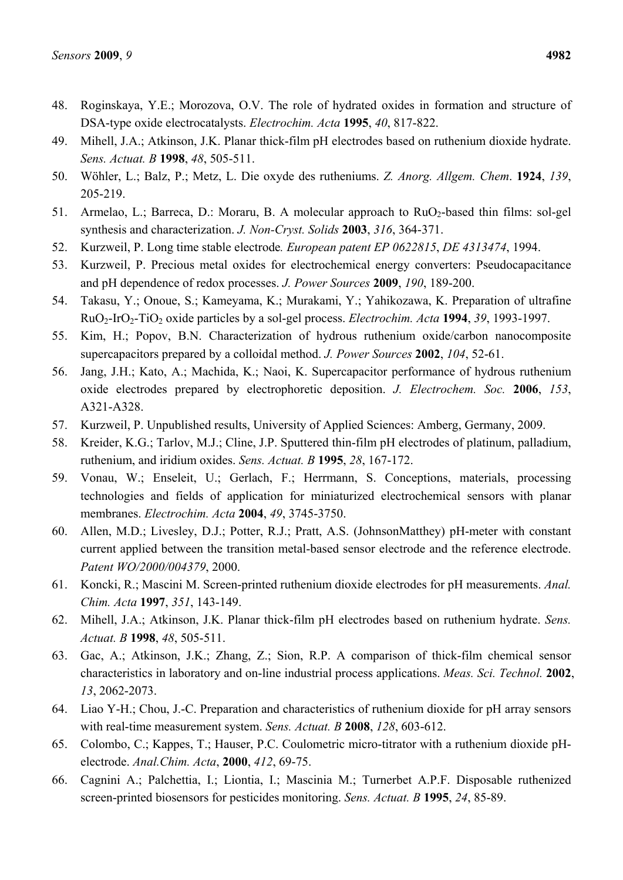- 48. Roginskaya, Y.E.; Morozova, O.V. The role of hydrated oxides in formation and structure of DSA-type oxide electrocatalysts. *Electrochim. Acta* **1995**, *40*, 817-822.
- 49. Mihell, J.A.; Atkinson, J.K. Planar thick-film pH electrodes based on ruthenium dioxide hydrate. *Sens. Actuat. B* **1998**, *48*, 505-511.
- 50. Wöhler, L.; Balz, P.; Metz, L. Die oxyde des rutheniums. *Z. Anorg. Allgem. Chem*. **1924**, *139*, 205-219.
- 51. Armelao, L.; Barreca, D.: Moraru, B. A molecular approach to RuO<sub>2</sub>-based thin films: sol-gel synthesis and characterization. *J. Non-Cryst. Solids* **2003**, *316*, 364-371.
- 52. Kurzweil, P. Long time stable electrode*. European patent EP 0622815*, *DE 4313474*, 1994.
- 53. Kurzweil, P. Precious metal oxides for electrochemical energy converters: Pseudocapacitance and pH dependence of redox processes. *J. Power Sources* **2009**, *190*, 189-200.
- 54. Takasu, Y.; Onoue, S.; Kameyama, K.; Murakami, Y.; Yahikozawa, K. Preparation of ultrafine RuO2-IrO2-TiO2 oxide particles by a sol-gel process. *Electrochim. Acta* **1994**, *39*, 1993-1997.
- 55. Kim, H.; Popov, B.N. Characterization of hydrous ruthenium oxide/carbon nanocomposite supercapacitors prepared by a colloidal method. *J. Power Sources* **2002**, *104*, 52-61.
- 56. Jang, J.H.; Kato, A.; Machida, K.; Naoi, K. Supercapacitor performance of hydrous ruthenium oxide electrodes prepared by electrophoretic deposition. *J. Electrochem. Soc.* **2006**, *153*, A321-A328.
- 57. Kurzweil, P. Unpublished results, University of Applied Sciences: Amberg, Germany, 2009.
- 58. Kreider, K.G.; Tarlov, M.J.; Cline, J.P. Sputtered thin-film pH electrodes of platinum, palladium, ruthenium, and iridium oxides. *Sens. Actuat. B* **1995**, *28*, 167-172.
- 59. Vonau, W.; Enseleit, U.; Gerlach, F.; Herrmann, S. Conceptions, materials, processing technologies and fields of application for miniaturized electrochemical sensors with planar membranes. *Electrochim. Acta* **2004**, *49*, 3745-3750.
- 60. Allen, M.D.; Livesley, D.J.; Potter, R.J.; Pratt, A.S. (JohnsonMatthey) pH-meter with constant current applied between the transition metal-based sensor electrode and the reference electrode. *Patent WO/2000/004379*, 2000.
- 61. Koncki, R.; Mascini M. Screen-printed ruthenium dioxide electrodes for pH measurements. *Anal. Chim. Acta* **1997**, *351*, 143-149.
- 62. Mihell, J.A.; Atkinson, J.K. Planar thick-film pH electrodes based on ruthenium hydrate. *Sens. Actuat. B* **1998**, *48*, 505-511.
- 63. Gac, A.; Atkinson, J.K.; Zhang, Z.; Sion, R.P. A comparison of thick-film chemical sensor characteristics in laboratory and on-line industrial process applications. *Meas. Sci. Technol.* **2002**, *13*, 2062-2073.
- 64. Liao Y-H.; Chou, J.-C. Preparation and characteristics of ruthenium dioxide for pH array sensors with real-time measurement system. *Sens. Actuat. B* **2008**, *128*, 603-612.
- 65. Colombo, C.; Kappes, T.; Hauser, P.C. Coulometric micro-titrator with a ruthenium dioxide pHelectrode. *Anal.Chim. Acta*, **2000**, *412*, 69-75.
- 66. Cagnini A.; Palchettia, I.; Liontia, I.; Mascinia M.; Turnerbet A.P.F. Disposable ruthenized screen-printed biosensors for pesticides monitoring. *Sens. Actuat. B* **1995**, *24*, 85-89.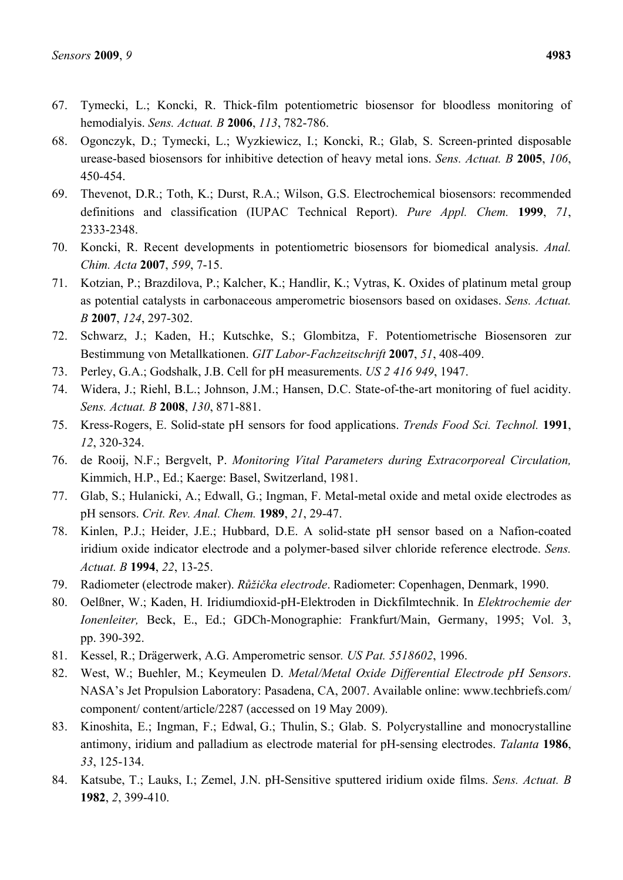- 67. Tymecki, L.; Koncki, R. Thick-film potentiometric biosensor for bloodless monitoring of hemodialyis. *Sens. Actuat. B* **2006**, *113*, 782-786.
- 68. Ogonczyk, D.; Tymecki, L.; Wyzkiewicz, I.; Koncki, R.; Glab, S. Screen-printed disposable urease-based biosensors for inhibitive detection of heavy metal ions. *Sens. Actuat. B* **2005**, *106*, 450-454.
- 69. Thevenot, D.R.; Toth, K.; Durst, R.A.; Wilson, G.S. Electrochemical biosensors: recommended definitions and classification (IUPAC Technical Report). *Pure Appl. Chem.* **1999**, *71*, 2333-2348.
- 70. Koncki, R. Recent developments in potentiometric biosensors for biomedical analysis. *Anal. Chim. Acta* **2007**, *599*, 7-15.
- 71. Kotzian, P.; Brazdilova, P.; Kalcher, K.; Handlir, K.; Vytras, K. Oxides of platinum metal group as potential catalysts in carbonaceous amperometric biosensors based on oxidases. *Sens. Actuat. B* **2007**, *124*, 297-302.
- 72. Schwarz, J.; Kaden, H.; Kutschke, S.; Glombitza, F. Potentiometrische Biosensoren zur Bestimmung von Metallkationen. *GIT Labor-Fachzeitschrift* **2007**, *51*, 408-409.
- 73. Perley, G.A.; Godshalk, J.B. Cell for pH measurements. *US 2 416 949*, 1947.
- 74. Widera, J.; Riehl, B.L.; Johnson, J.M.; Hansen, D.C. State-of-the-art monitoring of fuel acidity. *Sens. Actuat. B* **2008**, *130*, 871-881.
- 75. Kress-Rogers, E. Solid-state pH sensors for food applications. *Trends Food Sci. Technol.* **1991**, *12*, 320-324.
- 76. de Rooij, N.F.; Bergvelt, P. *Monitoring Vital Parameters during Extracorporeal Circulation,*  Kimmich, H.P., Ed.; Kaerge: Basel, Switzerland, 1981.
- 77. Glab, S.; Hulanicki, A.; Edwall, G.; Ingman, F. Metal-metal oxide and metal oxide electrodes as pH sensors. *Crit. Rev. Anal. Chem.* **1989**, *21*, 29-47.
- 78. Kinlen, P.J.; Heider, J.E.; Hubbard, D.E. A solid-state pH sensor based on a Nafion-coated iridium oxide indicator electrode and a polymer-based silver chloride reference electrode. *Sens. Actuat. B* **1994**, *22*, 13-25.
- 79. Radiometer (electrode maker). *Růžička electrode*. Radiometer: Copenhagen, Denmark, 1990.
- 80. Oelßner, W.; Kaden, H. Iridiumdioxid-pH-Elektroden in Dickfilmtechnik. In *Elektrochemie der Ionenleiter,* Beck, E., Ed.; GDCh-Monographie: Frankfurt/Main, Germany, 1995; Vol. 3, pp. 390-392.
- 81. Kessel, R.; Drägerwerk, A.G. Amperometric sensor*. US Pat. 5518602*, 1996.
- 82. West, W.; Buehler, M.; Keymeulen D. *Metal/Metal Oxide Differential Electrode pH Sensors*. NASA's Jet Propulsion Laboratory: Pasadena, CA, 2007. Available online: www.techbriefs.com/ component/ content/article/2287 (accessed on 19 May 2009).
- 83. Kinoshita, E.; Ingman, F.; Edwal, G.; Thulin, S.; Glab. S. Polycrystalline and monocrystalline antimony, iridium and palladium as electrode material for pH-sensing electrodes. *Talanta* **1986**, *33*, 125-134.
- 84. Katsube, T.; Lauks, I.; Zemel, J.N. pH-Sensitive sputtered iridium oxide films. *Sens. Actuat. B* **1982**, *2*, 399-410.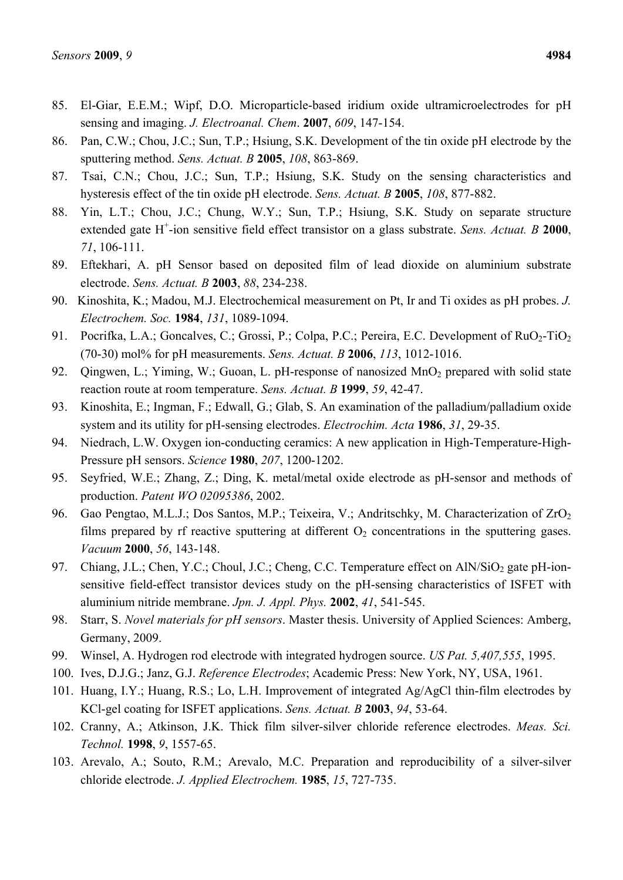- 85. El-Giar, E.E.M.; Wipf, D.O. Microparticle-based iridium oxide ultramicroelectrodes for pH sensing and imaging. *J. Electroanal. Chem*. **2007**, *609*, 147-154.
- 86. Pan, C.W.; Chou, J.C.; Sun, T.P.; Hsiung, S.K. Development of the tin oxide pH electrode by the sputtering method. *Sens. Actuat. B* **2005**, *108*, 863-869.
- 87. Tsai, C.N.; Chou, J.C.; Sun, T.P.; Hsiung, S.K. Study on the sensing characteristics and hysteresis effect of the tin oxide pH electrode. *Sens. Actuat. B* **2005**, *108*, 877-882.
- 88. Yin, L.T.; Chou, J.C.; Chung, W.Y.; Sun, T.P.; Hsiung, S.K. Study on separate structure extended gate H<sup>+</sup>-ion sensitive field effect transistor on a glass substrate. *Sens. Actuat. B* 2000, *71*, 106-111.
- 89. Eftekhari, A. pH Sensor based on deposited film of lead dioxide on aluminium substrate electrode. *Sens. Actuat. B* **2003**, *88*, 234-238.
- 90. Kinoshita, K.; Madou, M.J. Electrochemical measurement on Pt, Ir and Ti oxides as pH probes. *J. Electrochem. Soc.* **1984**, *131*, 1089-1094.
- 91. Pocrifka, L.A.; Goncalves, C.; Grossi, P.; Colpa, P.C.; Pereira, E.C. Development of RuO<sub>2</sub>-TiO<sub>2</sub> (70-30) mol% for pH measurements. *Sens. Actuat. B* **2006**, *113*, 1012-1016.
- 92. Qingwen, L.; Yiming, W.; Guoan, L. pH-response of nanosized MnO<sub>2</sub> prepared with solid state reaction route at room temperature. *Sens. Actuat. B* **1999**, *59*, 42-47.
- 93. Kinoshita, E.; Ingman, F.; Edwall, G.; Glab, S. An examination of the palladium/palladium oxide system and its utility for pH-sensing electrodes. *Electrochim. Acta* **1986**, *31*, 29-35.
- 94. Niedrach, L.W. Oxygen ion-conducting ceramics: A new application in High-Temperature-High-Pressure pH sensors. *Science* **1980**, *207*, 1200-1202.
- 95. Seyfried, W.E.; Zhang, Z.; Ding, K. metal/metal oxide electrode as pH-sensor and methods of production. *Patent WO 02095386*, 2002.
- 96. Gao Pengtao, M.L.J.; Dos Santos, M.P.; Teixeira, V.; Andritschky, M. Characterization of ZrO<sub>2</sub> films prepared by rf reactive sputtering at different  $O_2$  concentrations in the sputtering gases. *Vacuum* **2000**, *56*, 143-148.
- 97. Chiang, J.L.; Chen, Y.C.; Choul, J.C.; Cheng, C.C. Temperature effect on  $AlN/SiO<sub>2</sub>$  gate pH-ionsensitive field-effect transistor devices study on the pH-sensing characteristics of ISFET with aluminium nitride membrane. *Jpn. J. Appl. Phys.* **2002**, *41*, 541-545.
- 98. Starr, S. *Novel materials for pH sensors*. Master thesis. University of Applied Sciences: Amberg, Germany, 2009.
- 99. Winsel, A. Hydrogen rod electrode with integrated hydrogen source. *US Pat. 5,407,555*, 1995.
- 100. Ives, D.J.G.; Janz, G.J. *Reference Electrodes*; Academic Press: New York, NY, USA, 1961.
- 101. Huang, I.Y.; Huang, R.S.; Lo, L.H. Improvement of integrated Ag/AgCl thin-film electrodes by KCl-gel coating for ISFET applications. *Sens. Actuat. B* **2003**, *94*, 53-64.
- 102. Cranny, A.; Atkinson, J.K. Thick film silver-silver chloride reference electrodes. *Meas. Sci. Technol.* **1998**, *9*, 1557-65.
- 103. Arevalo, A.; Souto, R.M.; Arevalo, M.C. Preparation and reproducibility of a silver-silver chloride electrode. *J. Applied Electrochem.* **1985**, *15*, 727-735.